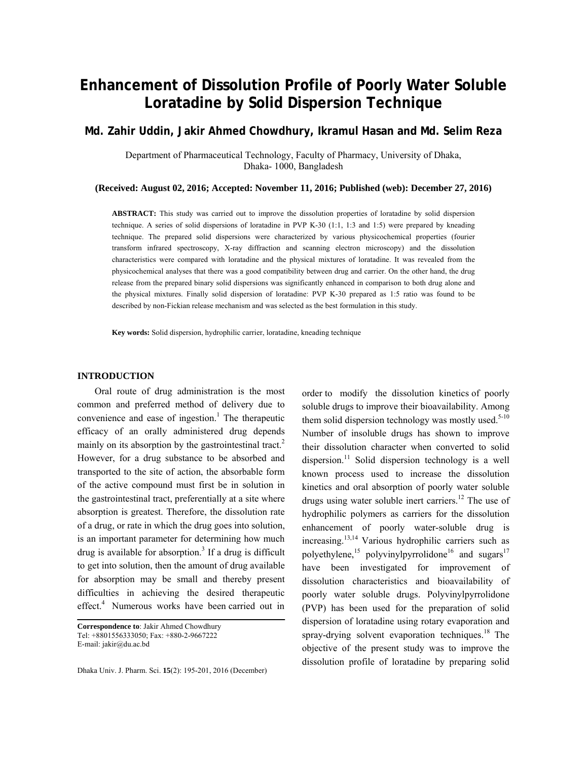# **Enhancement of Dissolution Profile of Poorly Water Soluble Loratadine by Solid Dispersion Technique**

**Md. Zahir Uddin, Jakir Ahmed Chowdhury, Ikramul Hasan and Md. Selim Reza** 

Department of Pharmaceutical Technology, Faculty of Pharmacy, University of Dhaka, Dhaka- 1000, Bangladesh

**(Received: August 02, 2016; Accepted: November 11, 2016; Published (web): December 27, 2016)** 

**ABSTRACT:** This study was carried out to improve the dissolution properties of loratadine by solid dispersion technique. A series of solid dispersions of loratadine in PVP K-30 (1:1, 1:3 and 1:5) were prepared by kneading technique. The prepared solid dispersions were characterized by various physicochemical properties (fourier transform infrared spectroscopy, X-ray diffraction and scanning electron microscopy) and the dissolution characteristics were compared with loratadine and the physical mixtures of loratadine. It was revealed from the physicochemical analyses that there was a good compatibility between drug and carrier. On the other hand, the drug release from the prepared binary solid dispersions was significantly enhanced in comparison to both drug alone and the physical mixtures. Finally solid dispersion of loratadine: PVP K-30 prepared as 1:5 ratio was found to be described by non-Fickian release mechanism and was selected as the best formulation in this study.

**Key words:** Solid dispersion, hydrophilic carrier, loratadine, kneading technique

## **INTRODUCTION**

 Oral route of drug administration is the most common and preferred method of delivery due to convenience and ease of ingestion.<sup>1</sup> The therapeutic efficacy of an orally administered drug depends mainly on its absorption by the gastrointestinal tract.<sup>2</sup> However, for a drug substance to be absorbed and transported to the site of action, the absorbable form of the active compound must first be in solution in the gastrointestinal tract, preferentially at a site where absorption is greatest. Therefore, the dissolution rate of a drug, or rate in which the drug goes into solution, is an important parameter for determining how much drug is available for absorption.<sup>3</sup> If a drug is difficult to get into solution, then the amount of drug available for absorption may be small and thereby present difficulties in achieving the desired therapeutic effect.<sup>4</sup> Numerous works have been carried out in

**Correspondence to**: Jakir Ahmed Chowdhury Tel: +8801556333050; Fax: +880-2-9667222 E-mail: jakir@du.ac.bd

Dhaka Univ. J. Pharm. Sci. **15**(2): 195-201, 2016 (December)

order to modify the dissolution kinetics of poorly soluble drugs to improve their bioavailability. Among them solid dispersion technology was mostly used.<sup>5-10</sup> Number of insoluble drugs has shown to improve their dissolution character when converted to solid dispersion.<sup>11</sup> Solid dispersion technology is a well known process used to increase the dissolution kinetics and oral absorption of poorly water soluble drugs using water soluble inert carriers.<sup>12</sup> The use of hydrophilic polymers as carriers for the dissolution enhancement of poorly water-soluble drug is increasing.13,14 Various hydrophilic carriers such as polyethylene,<sup>15</sup> polyvinylpyrrolidone<sup>16</sup> and sugars<sup>17</sup> have been investigated for improvement of dissolution characteristics and bioavailability of poorly water soluble drugs. Polyvinylpyrrolidone (PVP) has been used for the preparation of solid dispersion of loratadine using rotary evaporation and spray-drying solvent evaporation techniques.<sup>18</sup> The objective of the present study was to improve the dissolution profile of loratadine by preparing solid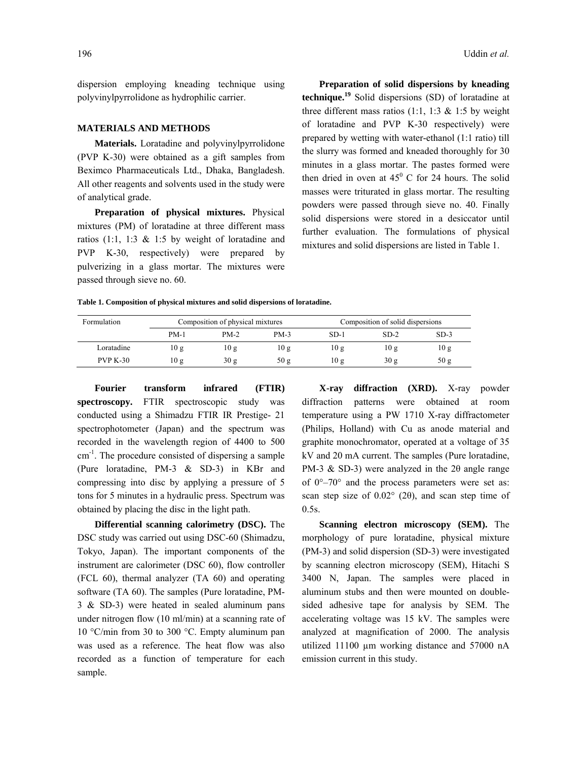dispersion employing kneading technique using polyvinylpyrrolidone as hydrophilic carrier.

#### **MATERIALS AND METHODS**

 **Materials.** Loratadine and polyvinylpyrrolidone (PVP K-30) were obtained as a gift samples from Beximco Pharmaceuticals Ltd., Dhaka, Bangladesh. All other reagents and solvents used in the study were of analytical grade.

 **Preparation of physical mixtures.** Physical mixtures (PM) of loratadine at three different mass ratios (1:1, 1:3  $\&$  1:5 by weight of loratadine and PVP K-30, respectively) were prepared by pulverizing in a glass mortar. The mixtures were passed through sieve no. 60.

 **Preparation of solid dispersions by kneading technique.<sup>19</sup>** Solid dispersions (SD) of loratadine at three different mass ratios (1:1, 1:3  $&$  1:5 by weight of loratadine and PVP K-30 respectively) were prepared by wetting with water-ethanol (1:1 ratio) till the slurry was formed and kneaded thoroughly for 30 minutes in a glass mortar. The pastes formed were then dried in oven at  $45^{\circ}$  C for 24 hours. The solid masses were triturated in glass mortar. The resulting powders were passed through sieve no. 40. Finally solid dispersions were stored in a desiccator until further evaluation. The formulations of physical mixtures and solid dispersions are listed in Table 1.

**Table 1. Composition of physical mixtures and solid dispersions of loratadine.** 

| Formulation |      | Composition of physical mixtures |        | Composition of solid dispersions |                 |        |  |
|-------------|------|----------------------------------|--------|----------------------------------|-----------------|--------|--|
|             | PM-1 | $PM-2$                           | $PM-3$ | SD-1                             | $SD-2$          | $SD-3$ |  |
| Loratadine  | 10g  | 10g                              | 10g    | 10g                              | 10g             | 10g    |  |
| $PVP K-30$  | 10g  | 30 g                             | 50 g   | 10g                              | 30 <sub>g</sub> | 50 g   |  |

**Fourier transform infrared (FTIR) spectroscopy.** FTIR spectroscopic study was conducted using a Shimadzu FTIR IR Prestige- 21 spectrophotometer (Japan) and the spectrum was recorded in the wavelength region of 4400 to 500 cm-1. The procedure consisted of dispersing a sample (Pure loratadine, PM-3 & SD-3) in KBr and compressing into disc by applying a pressure of 5 tons for 5 minutes in a hydraulic press. Spectrum was obtained by placing the disc in the light path.

 **Differential scanning calorimetry (DSC).** The DSC study was carried out using DSC-60 (Shimadzu, Tokyo, Japan). The important components of the instrument are calorimeter (DSC 60), flow controller (FCL 60), thermal analyzer (TA 60) and operating software (TA 60). The samples (Pure loratadine, PM-3 & SD-3) were heated in sealed aluminum pans under nitrogen flow (10 ml/min) at a scanning rate of 10 °C/min from 30 to 300 °C. Empty aluminum pan was used as a reference. The heat flow was also recorded as a function of temperature for each sample.

 **X-ray diffraction (XRD).** X-ray powder diffraction patterns were obtained at room temperature using a PW 1710 X-ray diffractometer (Philips, Holland) with Cu as anode material and graphite monochromator, operated at a voltage of 35 kV and 20 mA current. The samples (Pure loratadine, PM-3 & SD-3) were analyzed in the 2θ angle range of  $0^{\circ}$ –70° and the process parameters were set as: scan step size of 0.02° (2θ), and scan step time of 0.5s.

 **Scanning electron microscopy (SEM).** The morphology of pure loratadine, physical mixture (PM-3) and solid dispersion (SD-3) were investigated by scanning electron microscopy (SEM), Hitachi S 3400 N, Japan. The samples were placed in aluminum stubs and then were mounted on doublesided adhesive tape for analysis by SEM. The accelerating voltage was 15 kV. The samples were analyzed at magnification of 2000. The analysis utilized 11100 µm working distance and 57000 nA emission current in this study.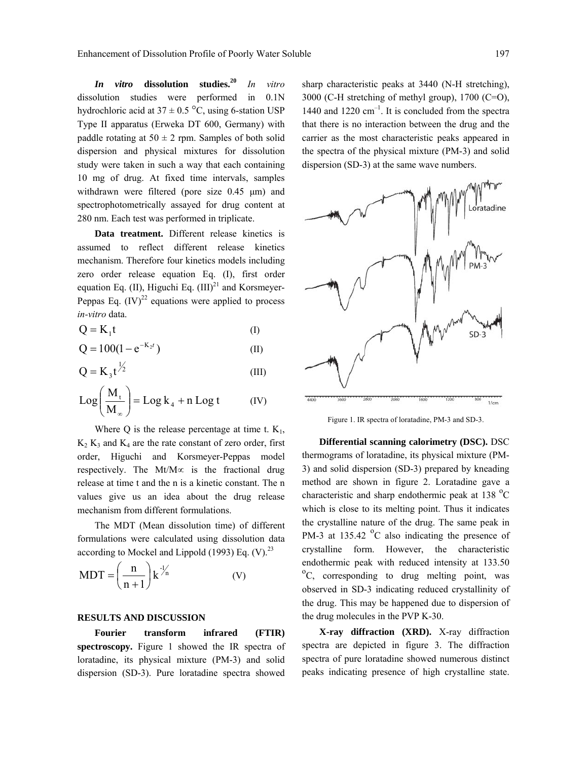*In vitro* **dissolution studies.<sup>20</sup>** *In vitro* dissolution studies were performed in 0.1N hydrochloric acid at  $37 \pm 0.5$  °C, using 6-station USP Type II apparatus (Erweka DT 600, Germany) with paddle rotating at  $50 \pm 2$  rpm. Samples of both solid dispersion and physical mixtures for dissolution study were taken in such a way that each containing 10 mg of drug. At fixed time intervals, samples withdrawn were filtered (pore size 0.45  $\mu$ m) and spectrophotometrically assayed for drug content at 280 nm. Each test was performed in triplicate.

 **Data treatment.** Different release kinetics is assumed to reflect different release kinetics mechanism. Therefore four kinetics models including zero order release equation Eq. (I), first order equation Eq. (II), Higuchi Eq.  $(III)^{21}$  and Korsmeyer-Peppas Eq.  $(IV)^{22}$  equations were applied to process *in-vitro* data.

$$
Q = K_1 t \tag{I}
$$

$$
Q = 100(1 - e^{-K_2 t})
$$
 (II)

$$
Q = K_3 t^{\frac{1}{2}} \tag{III}
$$

$$
Log\left(\frac{M_t}{M_\infty}\right) = Log k_4 + n Log t \qquad (IV)
$$

Where Q is the release percentage at time t.  $K_1$ ,  $K_2 K_3$  and  $K_4$  are the rate constant of zero order, first order, Higuchi and Korsmeyer-Peppas model respectively. The Mt/M∝ is the fractional drug release at time t and the n is a kinetic constant. The n values give us an idea about the drug release mechanism from different formulations.

 The MDT (Mean dissolution time) of different formulations were calculated using dissolution data according to Mockel and Lippold (1993) Eq.  $(V)$ .<sup>23</sup>

$$
MDT = \left(\frac{n}{n+1}\right) k^{\frac{1}{n}} \tag{V}
$$

### **RESULTS AND DISCUSSION**

 **Fourier transform infrared (FTIR) spectroscopy.** Figure 1 showed the IR spectra of loratadine, its physical mixture (PM-3) and solid dispersion (SD-3). Pure loratadine spectra showed sharp characteristic peaks at 3440 (N-H stretching), 3000 (C-H stretching of methyl group), 1700 (C=O), 1440 and 1220  $cm^{-1}$ . It is concluded from the spectra that there is no interaction between the drug and the carrier as the most characteristic peaks appeared in the spectra of the physical mixture (PM-3) and solid dispersion (SD-3) at the same wave numbers.



Figure 1. IR spectra of loratadine, PM-3 and SD-3.

 **Differential scanning calorimetry (DSC).** DSC thermograms of loratadine, its physical mixture (PM-3) and solid dispersion (SD-3) prepared by kneading method are shown in figure 2. Loratadine gave a characteristic and sharp endothermic peak at  $138\text{ °C}$ which is close to its melting point. Thus it indicates the crystalline nature of the drug. The same peak in PM-3 at 135.42  $\mathrm{^{\circ}C}$  also indicating the presence of crystalline form. However, the characteristic endothermic peak with reduced intensity at 133.50 <sup>o</sup>C, corresponding to drug melting point, was observed in SD-3 indicating reduced crystallinity of the drug. This may be happened due to dispersion of the drug molecules in the PVP K-30.

 **X-ray diffraction (XRD).** X-ray diffraction spectra are depicted in figure 3. The diffraction spectra of pure loratadine showed numerous distinct peaks indicating presence of high crystalline state.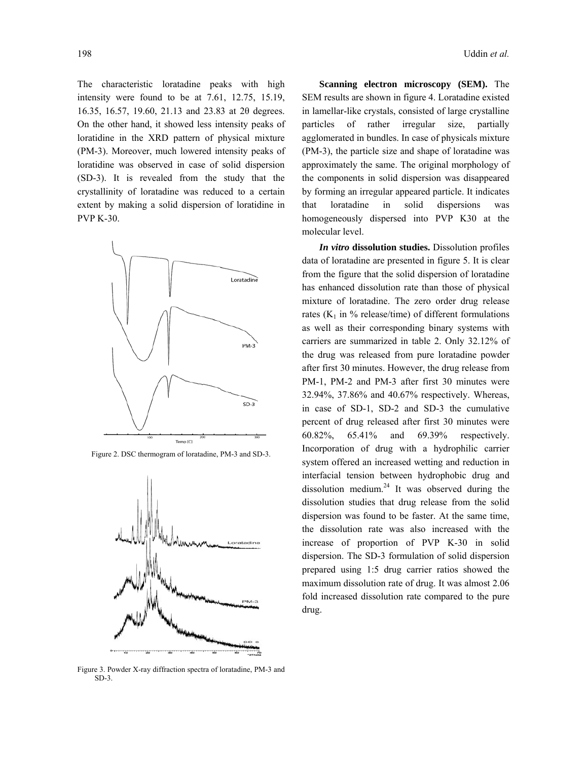The characteristic loratadine peaks with high intensity were found to be at 7.61, 12.75, 15.19, 16.35, 16.57, 19.60, 21.13 and 23.83 at 2θ degrees. On the other hand, it showed less intensity peaks of loratidine in the XRD pattern of physical mixture (PM-3). Moreover, much lowered intensity peaks of loratidine was observed in case of solid dispersion (SD-3). It is revealed from the study that the crystallinity of loratadine was reduced to a certain extent by making a solid dispersion of loratidine in PVP K-30.



Figure 2. DSC thermogram of loratadine, PM-3 and SD-3.



Figure 3. Powder X-ray diffraction spectra of loratadine, PM-3 and SD-3.

 **Scanning electron microscopy (SEM).** The SEM results are shown in figure 4. Loratadine existed in lamellar-like crystals, consisted of large crystalline particles of rather irregular size, partially agglomerated in bundles. In case of physicals mixture (PM-3), the particle size and shape of loratadine was approximately the same. The original morphology of the components in solid dispersion was disappeared by forming an irregular appeared particle. It indicates that loratadine in solid dispersions was homogeneously dispersed into PVP K30 at the molecular level.

 *In vitro* **dissolution studies.** Dissolution profiles data of loratadine are presented in figure 5. It is clear from the figure that the solid dispersion of loratadine has enhanced dissolution rate than those of physical mixture of loratadine. The zero order drug release rates ( $K_1$  in % release/time) of different formulations as well as their corresponding binary systems with carriers are summarized in table 2. Only 32.12% of the drug was released from pure loratadine powder after first 30 minutes. However, the drug release from PM-1, PM-2 and PM-3 after first 30 minutes were 32.94%, 37.86% and 40.67% respectively. Whereas, in case of SD-1, SD-2 and SD-3 the cumulative percent of drug released after first 30 minutes were 60.82%, 65.41% and 69.39% respectively. Incorporation of drug with a hydrophilic carrier system offered an increased wetting and reduction in interfacial tension between hydrophobic drug and dissolution medium.<sup>24</sup> It was observed during the dissolution studies that drug release from the solid dispersion was found to be faster. At the same time, the dissolution rate was also increased with the increase of proportion of PVP K-30 in solid dispersion. The SD-3 formulation of solid dispersion prepared using 1:5 drug carrier ratios showed the maximum dissolution rate of drug. It was almost 2.06 fold increased dissolution rate compared to the pure drug.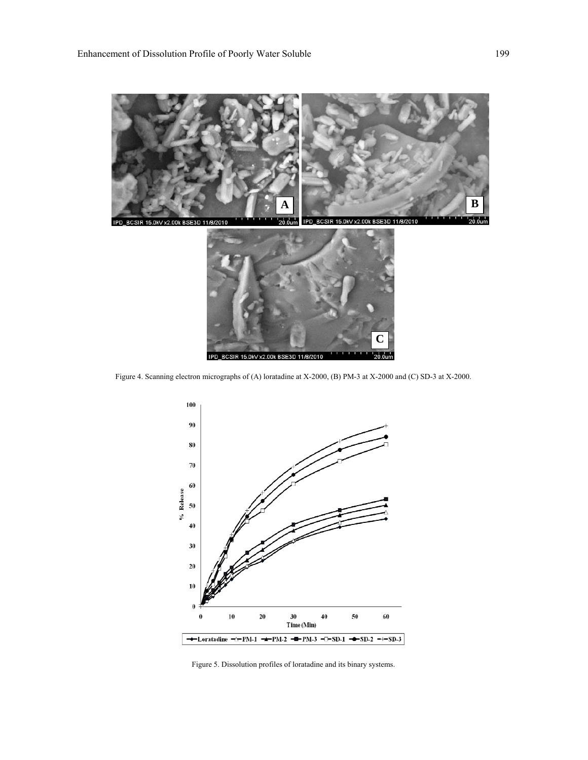

Figure 4. Scanning electron micrographs of (A) loratadine at X-2000, (B) PM-3 at X-2000 and (C) SD-3 at X-2000.

IPD\_BCSIR 15.0kV x2.00k BSE3D 11/8/2010



Figure 5. Dissolution profiles of loratadine and its binary systems.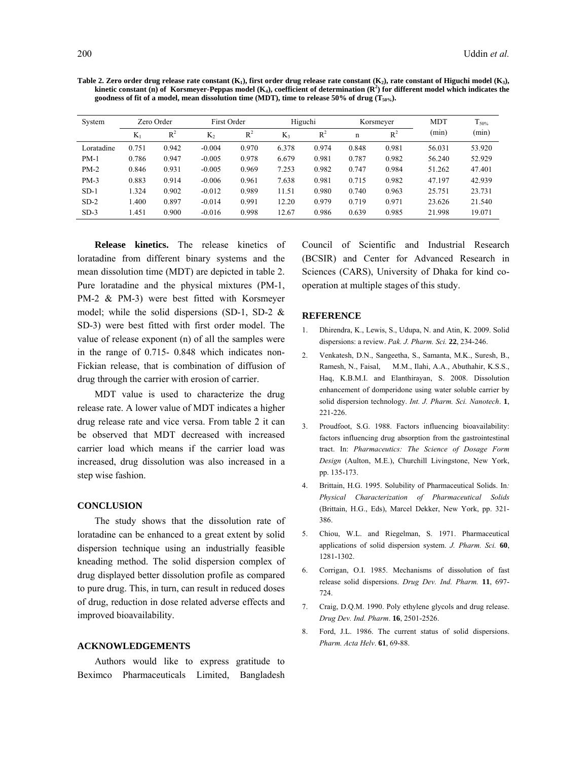| System     | Zero Order |       | First Order |       | Higuchi |       | Korsmeyer |       | <b>MDT</b> | $T_{50\%}$ |
|------------|------------|-------|-------------|-------|---------|-------|-----------|-------|------------|------------|
|            | $K_1$      | $R^2$ | $K_2$       | $R^2$ | K3      | $R^2$ | n         | $R^2$ | (min)      | (min)      |
| Loratadine | 0.751      | 0.942 | $-0.004$    | 0.970 | 6.378   | 0.974 | 0.848     | 0.981 | 56.031     | 53.920     |
| $PM-1$     | 0.786      | 0.947 | $-0.005$    | 0.978 | 6.679   | 0.981 | 0.787     | 0.982 | 56.240     | 52.929     |
| $PM-2$     | 0.846      | 0.931 | $-0.005$    | 0.969 | 7.253   | 0.982 | 0.747     | 0.984 | 51.262     | 47.401     |
| $PM-3$     | 0.883      | 0.914 | $-0.006$    | 0.961 | 7.638   | 0.981 | 0.715     | 0.982 | 47.197     | 42.939     |
| $SD-1$     | 1.324      | 0.902 | $-0.012$    | 0.989 | 11.51   | 0.980 | 0.740     | 0.963 | 25.751     | 23.731     |
| $SD-2$     | 1.400      | 0.897 | $-0.014$    | 0.991 | 12.20   | 0.979 | 0.719     | 0.971 | 23.626     | 21.540     |
| $SD-3$     | .451       | 0.900 | $-0.016$    | 0.998 | 12.67   | 0.986 | 0.639     | 0.985 | 21.998     | 19.071     |

 **Release kinetics.** The release kinetics of loratadine from different binary systems and the mean dissolution time (MDT) are depicted in table 2. Pure loratadine and the physical mixtures (PM-1, PM-2 & PM-3) were best fitted with Korsmeyer model; while the solid dispersions (SD-1, SD-2 & SD-3) were best fitted with first order model. The value of release exponent (n) of all the samples were in the range of 0.715- 0.848 which indicates non-Fickian release, that is combination of diffusion of drug through the carrier with erosion of carrier.

 MDT value is used to characterize the drug release rate. A lower value of MDT indicates a higher drug release rate and vice versa. From table 2 it can be observed that MDT decreased with increased carrier load which means if the carrier load was increased, drug dissolution was also increased in a step wise fashion.

## **CONCLUSION**

 The study shows that the dissolution rate of loratadine can be enhanced to a great extent by solid dispersion technique using an industrially feasible kneading method. The solid dispersion complex of drug displayed better dissolution profile as compared to pure drug. This, in turn, can result in reduced doses of drug, reduction in dose related adverse effects and improved bioavailability.

#### **ACKNOWLEDGEMENTS**

 Authors would like to express gratitude to Beximco Pharmaceuticals Limited, Bangladesh Council of Scientific and Industrial Research (BCSIR) and Center for Advanced Research in Sciences (CARS), University of Dhaka for kind cooperation at multiple stages of this study.

#### **REFERENCE**

- 1. Dhirendra, K., Lewis, S., Udupa, N. and Atin, K. 2009. Solid dispersions: a review. *Pak. J. Pharm. Sci.* **22**, 234-246.
- 2. Venkatesh, D.N., Sangeetha, S., Samanta, M.K., Suresh, B., Ramesh, N., Faisal, M.M., Ilahi, A.A., Abuthahir, K.S.S., Haq, K.B.M.I. and Elanthirayan, S. 2008. Dissolution enhancement of domperidone using water soluble carrier by solid dispersion technology. *Int. J. Pharm. Sci. Nanotech*. **1**, 221-226.
- 3. Proudfoot, S.G. 1988. Factors influencing bioavailability: factors influencing drug absorption from the gastrointestinal tract. In: *Pharmaceutics: The Science of Dosage Form Design* (Aulton, M.E.), Churchill Livingstone, New York, pp. 135-173.
- 4. Brittain, H.G. 1995. Solubility of Pharmaceutical Solids. In*: Physical Characterization of Pharmaceutical Solids*  (Brittain, H.G., Eds), Marcel Dekker, New York, pp. 321- 386.
- 5. Chiou, W.L. and Riegelman, S. 1971. Pharmaceutical applications of solid dispersion system. *J. Pharm. Sci.* **60**, 1281-1302.
- 6. Corrigan, O.I. 1985. Mechanisms of dissolution of fast release solid dispersions. *Drug Dev. Ind. Pharm.* **11**, 697- 724.
- 7. Craig, D.Q.M. 1990. Poly ethylene glycols and drug release. *Drug Dev. Ind. Pharm*. **16**, 2501-2526.
- 8. Ford, J.L. 1986. The current status of solid dispersions. *Pharm. Acta Helv*. **61**, 69-88.